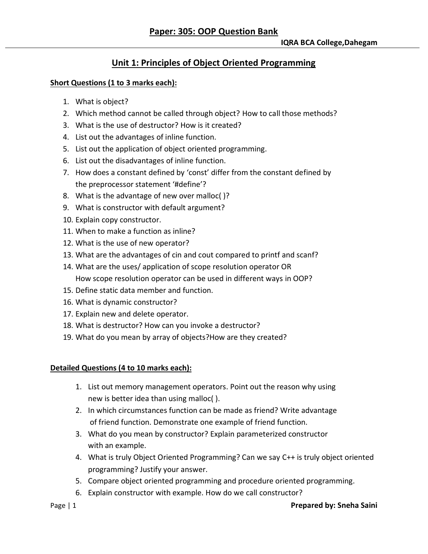# **Unit 1: Principles of Object Oriented Programming**

#### **Short Questions (1 to 3 marks each):**

- 1. What is object?
- 2. Which method cannot be called through object? How to call those methods?
- 3. What is the use of destructor? How is it created?
- 4. List out the advantages of inline function.
- 5. List out the application of object oriented programming.
- 6. List out the disadvantages of inline function.
- 7. How does a constant defined by 'const' differ from the constant defined by the preprocessor statement '#define'?
- 8. What is the advantage of new over malloc( )?
- 9. What is constructor with default argument?
- 10. Explain copy constructor.
- 11. When to make a function as inline?
- 12. What is the use of new operator?
- 13. What are the advantages of cin and cout compared to printf and scanf?
- 14. What are the uses/ application of scope resolution operator OR How scope resolution operator can be used in different ways in OOP?
- 15. Define static data member and function.
- 16. What is dynamic constructor?
- 17. Explain new and delete operator.
- 18. What is destructor? How can you invoke a destructor?
- 19. What do you mean by array of objects?How are they created?

### **Detailed Questions (4 to 10 marks each):**

- 1. List out memory management operators. Point out the reason why using new is better idea than using malloc( ).
- 2. In which circumstances function can be made as friend? Write advantage of friend function. Demonstrate one example of friend function.
- 3. What do you mean by constructor? Explain parameterized constructor with an example.
- 4. What is truly Object Oriented Programming? Can we say C++ is truly object oriented programming? Justify your answer.
- 5. Compare object oriented programming and procedure oriented programming.
- 6. Explain constructor with example. How do we call constructor?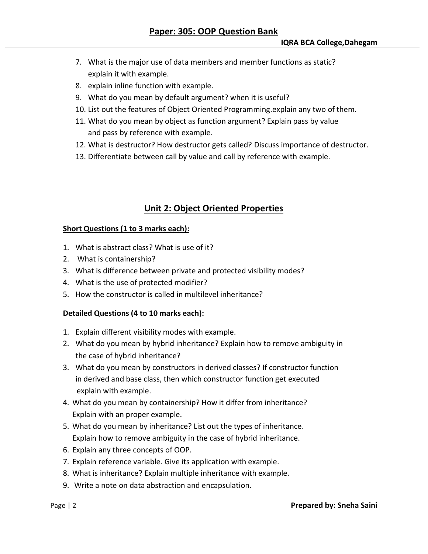- 7. What is the major use of data members and member functions as static? explain it with example.
- 8. explain inline function with example.
- 9. What do you mean by default argument? when it is useful?
- 10. List out the features of Object Oriented Programming.explain any two of them.
- 11. What do you mean by object as function argument? Explain pass by value and pass by reference with example.
- 12. What is destructor? How destructor gets called? Discuss importance of destructor.
- 13. Differentiate between call by value and call by reference with example.

### **Unit 2: Object Oriented Properties**

#### **Short Questions (1 to 3 marks each):**

- 1. What is abstract class? What is use of it?
- 2. What is containership?
- 3. What is difference between private and protected visibility modes?
- 4. What is the use of protected modifier?
- 5. How the constructor is called in multilevel inheritance?

#### **Detailed Questions (4 to 10 marks each):**

- 1. Explain different visibility modes with example.
- 2. What do you mean by hybrid inheritance? Explain how to remove ambiguity in the case of hybrid inheritance?
- 3. What do you mean by constructors in derived classes? If constructor function in derived and base class, then which constructor function get executed explain with example.
- 4. What do you mean by containership? How it differ from inheritance? Explain with an proper example.
- 5. What do you mean by inheritance? List out the types of inheritance. Explain how to remove ambiguity in the case of hybrid inheritance.
- 6. Explain any three concepts of OOP.
- 7. Explain reference variable. Give its application with example.
- 8. What is inheritance? Explain multiple inheritance with example.
- 9. Write a note on data abstraction and encapsulation.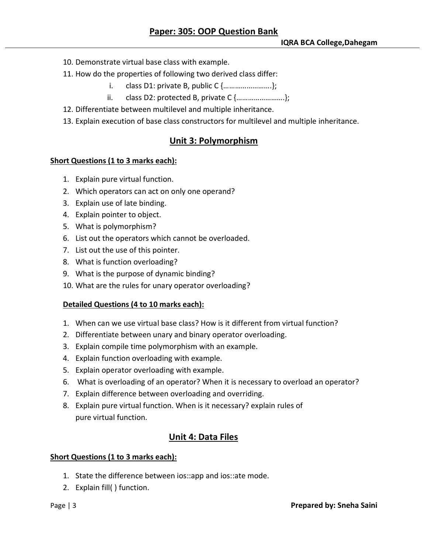- 10. Demonstrate virtual base class with example.
- 11. How do the properties of following two derived class differ:
	- i. class D1: private B, public C {…………………….};
	- ii. class D2: protected B, private C {…………………….};
- 12. Differentiate between multilevel and multiple inheritance.
- 13. Explain execution of base class constructors for multilevel and multiple inheritance.

### **Unit 3: Polymorphism**

#### **Short Questions (1 to 3 marks each):**

- 1. Explain pure virtual function.
- 2. Which operators can act on only one operand?
- 3. Explain use of late binding.
- 4. Explain pointer to object.
- 5. What is polymorphism?
- 6. List out the operators which cannot be overloaded.
- 7. List out the use of this pointer.
- 8. What is function overloading?
- 9. What is the purpose of dynamic binding?
- 10. What are the rules for unary operator overloading?

#### **Detailed Questions (4 to 10 marks each):**

- 1. When can we use virtual base class? How is it different from virtual function?
- 2. Differentiate between unary and binary operator overloading.
- 3. Explain compile time polymorphism with an example.
- 4. Explain function overloading with example.
- 5. Explain operator overloading with example.
- 6. What is overloading of an operator? When it is necessary to overload an operator?
- 7. Explain difference between overloading and overriding.
- 8. Explain pure virtual function. When is it necessary? explain rules of pure virtual function.

### **Unit 4: Data Files**

#### **Short Questions (1 to 3 marks each):**

- 1. State the difference between ios::app and ios::ate mode.
- 2. Explain fill( ) function.